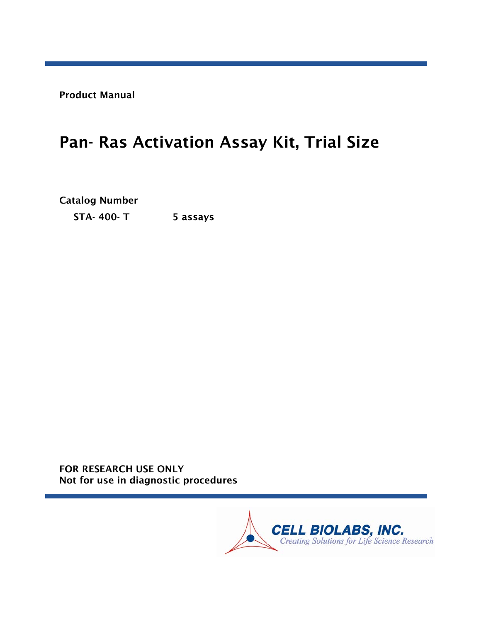Product Manual

# Pan- Ras Activation Assay Kit, Trial Size

Catalog Number STA- 400- T 5 assays

FOR RESEARCH USE ONLY Not for use in diagnostic procedures

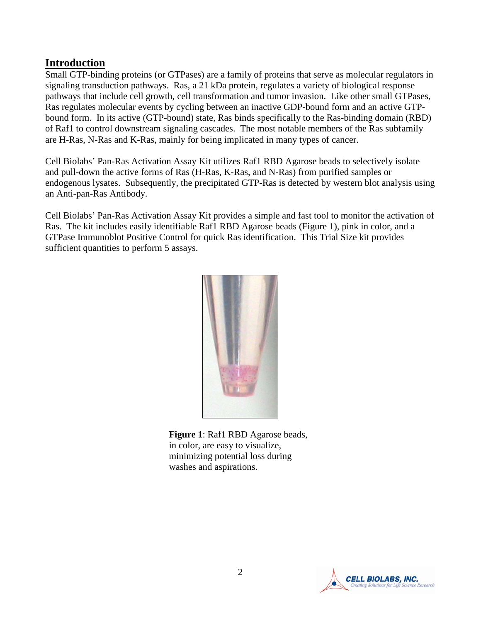#### **Introduction**

Small GTP-binding proteins (or GTPases) are a family of proteins that serve as molecular regulators in signaling transduction pathways. Ras, a 21 kDa protein, regulates a variety of biological response pathways that include cell growth, cell transformation and tumor invasion. Like other small GTPases, Ras regulates molecular events by cycling between an inactive GDP-bound form and an active GTPbound form. In its active (GTP-bound) state, Ras binds specifically to the Ras-binding domain (RBD) of Raf1 to control downstream signaling cascades. The most notable members of the Ras subfamily are H-Ras, N-Ras and K-Ras, mainly for being implicated in many types of cancer.

Cell Biolabs' Pan-Ras Activation Assay Kit utilizes Raf1 RBD Agarose beads to selectively isolate and pull-down the active forms of Ras (H-Ras, K-Ras, and N-Ras) from purified samples or endogenous lysates. Subsequently, the precipitated GTP-Ras is detected by western blot analysis using an Anti-pan-Ras Antibody.

Cell Biolabs' Pan-Ras Activation Assay Kit provides a simple and fast tool to monitor the activation of Ras. The kit includes easily identifiable Raf1 RBD Agarose beads (Figure 1), pink in color, and a GTPase Immunoblot Positive Control for quick Ras identification. This Trial Size kit provides sufficient quantities to perform 5 assays.



**Figure 1**: Raf1 RBD Agarose beads, in color, are easy to visualize, minimizing potential loss during washes and aspirations.

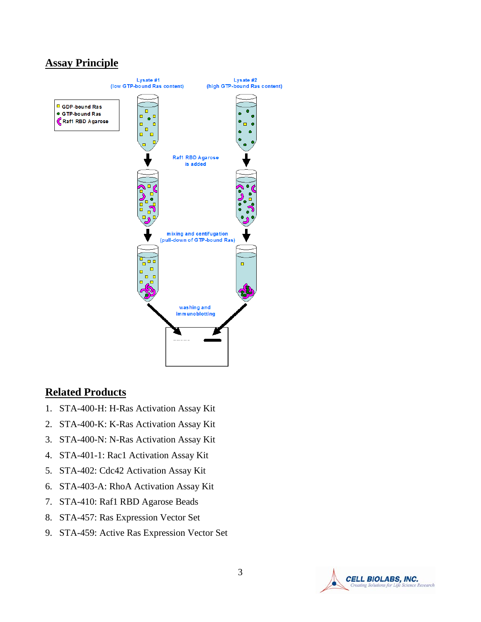## **Assay Principle**



#### **Related Products**

- 1. STA-400-H: H-Ras Activation Assay Kit
- 2. STA-400-K: K-Ras Activation Assay Kit
- 3. STA-400-N: N-Ras Activation Assay Kit
- 4. STA-401-1: Rac1 Activation Assay Kit
- 5. STA-402: Cdc42 Activation Assay Kit
- 6. STA-403-A: RhoA Activation Assay Kit
- 7. STA-410: Raf1 RBD Agarose Beads
- 8. STA-457: Ras Expression Vector Set
- 9. STA-459: Active Ras Expression Vector Set

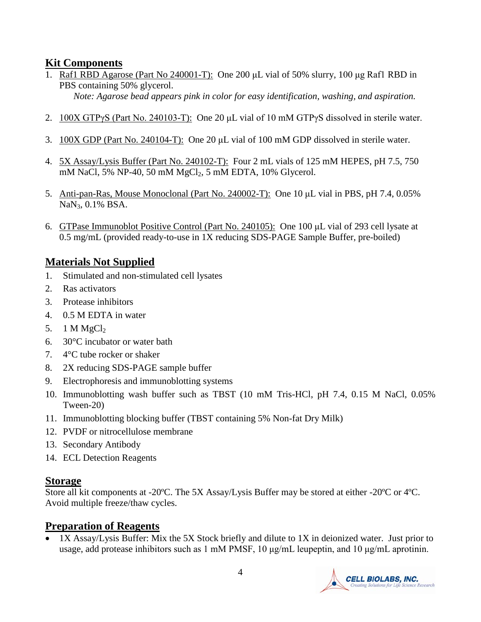## **Kit Components**

1. Raf1 RBD Agarose (Part No 240001-T): One 200 μL vial of 50% slurry, 100 μg Raf1 RBD in PBS containing 50% glycerol.

*Note: Agarose bead appears pink in color for easy identification, washing, and aspiration.*

- 2. 100X GTPγS (Part No. 240103-T): One 20 μL vial of 10 mM GTPγS dissolved in sterile water.
- 3. 100X GDP (Part No. 240104-T): One 20 μL vial of 100 mM GDP dissolved in sterile water.
- 4. 5X Assay/Lysis Buffer (Part No. 240102-T): Four 2 mL vials of 125 mM HEPES, pH 7.5, 750 mM NaCl, 5% NP-40, 50 mM MgCl<sub>2</sub>, 5 mM EDTA, 10% Glycerol.
- 5. Anti-pan-Ras, Mouse Monoclonal (Part No. 240002-T): One 10 μL vial in PBS, pH 7.4, 0.05% NaN3, 0.1% BSA.
- 6. GTPase Immunoblot Positive Control (Part No. 240105): One 100 μL vial of 293 cell lysate at 0.5 mg/mL (provided ready-to-use in 1X reducing SDS-PAGE Sample Buffer, pre-boiled)

# **Materials Not Supplied**

- 1. Stimulated and non-stimulated cell lysates
- 2. Ras activators
- 3. Protease inhibitors
- 4. 0.5 M EDTA in water
- 5. 1 M  $MgCl<sub>2</sub>$
- 6. 30°C incubator or water bath
- 7. 4°C tube rocker or shaker
- 8. 2X reducing SDS-PAGE sample buffer
- 9. Electrophoresis and immunoblotting systems
- 10. Immunoblotting wash buffer such as TBST (10 mM Tris-HCl, pH 7.4, 0.15 M NaCl, 0.05% Tween-20)
- 11. Immunoblotting blocking buffer (TBST containing 5% Non-fat Dry Milk)
- 12. PVDF or nitrocellulose membrane
- 13. Secondary Antibody
- 14. ECL Detection Reagents

## **Storage**

Store all kit components at -20ºC. The 5X Assay/Lysis Buffer may be stored at either -20ºC or 4ºC. Avoid multiple freeze/thaw cycles.

## **Preparation of Reagents**

• 1X Assay/Lysis Buffer: Mix the 5X Stock briefly and dilute to 1X in deionized water. Just prior to usage, add protease inhibitors such as 1 mM PMSF, 10 μg/mL leupeptin, and 10 μg/mL aprotinin.

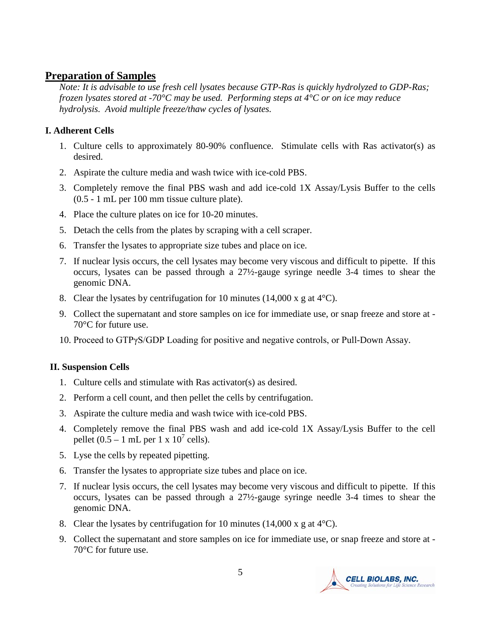#### **Preparation of Samples**

*Note: It is advisable to use fresh cell lysates because GTP-Ras is quickly hydrolyzed to GDP-Ras; frozen lysates stored at -70°C may be used. Performing steps at 4°C or on ice may reduce hydrolysis. Avoid multiple freeze/thaw cycles of lysates.* 

#### **I. Adherent Cells**

- 1. Culture cells to approximately 80-90% confluence. Stimulate cells with Ras activator(s) as desired.
- 2. Aspirate the culture media and wash twice with ice-cold PBS.
- 3. Completely remove the final PBS wash and add ice-cold 1X Assay/Lysis Buffer to the cells (0.5 - 1 mL per 100 mm tissue culture plate).
- 4. Place the culture plates on ice for 10-20 minutes.
- 5. Detach the cells from the plates by scraping with a cell scraper.
- 6. Transfer the lysates to appropriate size tubes and place on ice.
- 7. If nuclear lysis occurs, the cell lysates may become very viscous and difficult to pipette. If this occurs, lysates can be passed through a 27½-gauge syringe needle 3-4 times to shear the genomic DNA.
- 8. Clear the lysates by centrifugation for 10 minutes (14,000 x g at  $4^{\circ}$ C).
- 9. Collect the supernatant and store samples on ice for immediate use, or snap freeze and store at 70°C for future use.
- 10. Proceed to GTPγS/GDP Loading for positive and negative controls, or Pull-Down Assay.

#### **II. Suspension Cells**

- 1. Culture cells and stimulate with Ras activator(s) as desired.
- 2. Perform a cell count, and then pellet the cells by centrifugation.
- 3. Aspirate the culture media and wash twice with ice-cold PBS.
- 4. Completely remove the final PBS wash and add ice-cold 1X Assay/Lysis Buffer to the cell pellet  $(0.5 - 1$  mL per 1 x  $10^7$  cells).
- 5. Lyse the cells by repeated pipetting.
- 6. Transfer the lysates to appropriate size tubes and place on ice.
- 7. If nuclear lysis occurs, the cell lysates may become very viscous and difficult to pipette. If this occurs, lysates can be passed through a 27½-gauge syringe needle 3-4 times to shear the genomic DNA.
- 8. Clear the lysates by centrifugation for 10 minutes (14,000 x g at  $4^{\circ}$ C).
- 9. Collect the supernatant and store samples on ice for immediate use, or snap freeze and store at 70°C for future use.

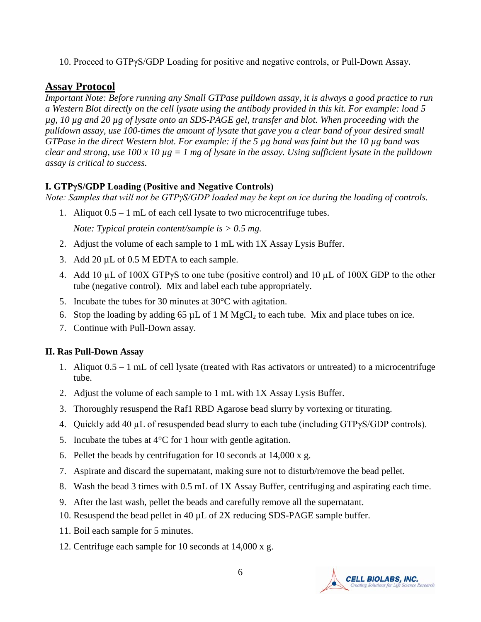10. Proceed to GTPγS/GDP Loading for positive and negative controls, or Pull-Down Assay.

#### **Assay Protocol**

*Important Note: Before running any Small GTPase pulldown assay, it is always a good practice to run a Western Blot directly on the cell lysate using the antibody provided in this kit. For example: load 5 µg, 10 µg and 20 µg of lysate onto an SDS-PAGE gel, transfer and blot. When proceeding with the pulldown assay, use 100-times the amount of lysate that gave you a clear band of your desired small GTPase in the direct Western blot. For example: if the 5 µg band was faint but the 10 µg band was clear and strong, use 100 x 10 µg = 1 mg of lysate in the assay. Using sufficient lysate in the pulldown assay is critical to success.*

#### **I. GTPγS/GDP Loading (Positive and Negative Controls)**

*Note: Samples that will not be GTPγS/GDP loaded may be kept on ice during the loading of controls.*

1. Aliquot 0.5 – 1 mL of each cell lysate to two microcentrifuge tubes.

*Note: Typical protein content/sample is > 0.5 mg.* 

- 2. Adjust the volume of each sample to 1 mL with 1X Assay Lysis Buffer.
- 3. Add 20 µL of 0.5 M EDTA to each sample.
- 4. Add 10 µL of 100X GTPγS to one tube (positive control) and 10 µL of 100X GDP to the other tube (negative control). Mix and label each tube appropriately.
- 5. Incubate the tubes for 30 minutes at 30°C with agitation.
- 6. Stop the loading by adding 65  $\mu$ L of 1 M MgCl<sub>2</sub> to each tube. Mix and place tubes on ice.
- 7. Continue with Pull-Down assay.

#### **II. Ras Pull-Down Assay**

- 1. Aliquot 0.5 1 mL of cell lysate (treated with Ras activators or untreated) to a microcentrifuge tube.
- 2. Adjust the volume of each sample to 1 mL with 1X Assay Lysis Buffer.
- 3. Thoroughly resuspend the Raf1 RBD Agarose bead slurry by vortexing or titurating.
- 4. Quickly add 40 µL of resuspended bead slurry to each tube (including GTPγS/GDP controls).
- 5. Incubate the tubes at  $4^{\circ}$ C for 1 hour with gentle agitation.
- 6. Pellet the beads by centrifugation for 10 seconds at 14,000 x g.
- 7. Aspirate and discard the supernatant, making sure not to disturb/remove the bead pellet.
- 8. Wash the bead 3 times with 0.5 mL of 1X Assay Buffer, centrifuging and aspirating each time.
- 9. After the last wash, pellet the beads and carefully remove all the supernatant.
- 10. Resuspend the bead pellet in 40 µL of 2X reducing SDS-PAGE sample buffer.
- 11. Boil each sample for 5 minutes.
- 12. Centrifuge each sample for 10 seconds at 14,000 x g.

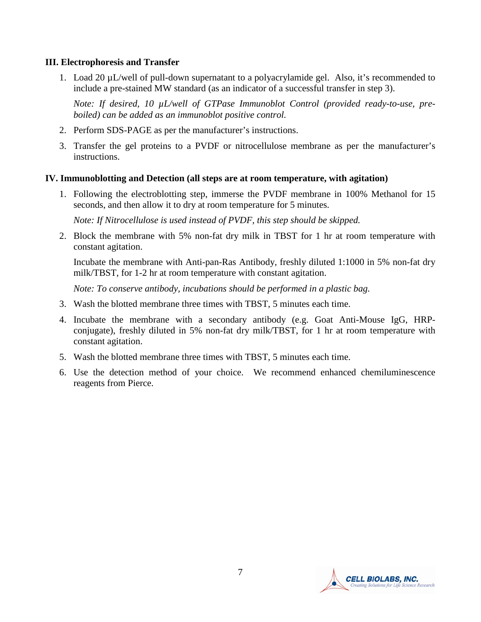#### **III. Electrophoresis and Transfer**

1. Load 20 µL/well of pull-down supernatant to a polyacrylamide gel. Also, it's recommended to include a pre-stained MW standard (as an indicator of a successful transfer in step 3).

*Note: If desired, 10 µL/well of GTPase Immunoblot Control (provided ready-to-use, preboiled) can be added as an immunoblot positive control.* 

- 2. Perform SDS-PAGE as per the manufacturer's instructions.
- 3. Transfer the gel proteins to a PVDF or nitrocellulose membrane as per the manufacturer's instructions.

#### **IV. Immunoblotting and Detection (all steps are at room temperature, with agitation)**

1. Following the electroblotting step, immerse the PVDF membrane in 100% Methanol for 15 seconds, and then allow it to dry at room temperature for 5 minutes.

*Note: If Nitrocellulose is used instead of PVDF, this step should be skipped.*

2. Block the membrane with 5% non-fat dry milk in TBST for 1 hr at room temperature with constant agitation.

Incubate the membrane with Anti-pan-Ras Antibody, freshly diluted 1:1000 in 5% non-fat dry milk/TBST, for 1-2 hr at room temperature with constant agitation.

*Note: To conserve antibody, incubations should be performed in a plastic bag.*

- 3. Wash the blotted membrane three times with TBST, 5 minutes each time.
- 4. Incubate the membrane with a secondary antibody (e.g. Goat Anti-Mouse IgG, HRPconjugate), freshly diluted in 5% non-fat dry milk/TBST, for 1 hr at room temperature with constant agitation.
- 5. Wash the blotted membrane three times with TBST, 5 minutes each time.
- 6. Use the detection method of your choice. We recommend enhanced chemiluminescence reagents from Pierce.

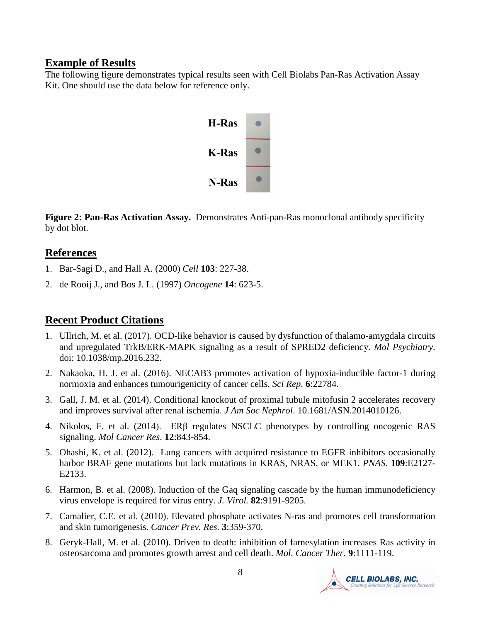#### **Example of Results**

The following figure demonstrates typical results seen with Cell Biolabs Pan-Ras Activation Assay Kit. One should use the data below for reference only.



**Figure 2: Pan-Ras Activation Assay.** Demonstrates Anti-pan-Ras monoclonal antibody specificity by dot blot.

#### **References**

- 1. [Bar-Sagi D](http://www.ncbi.nlm.nih.gov/entrez/query.fcgi?db=pubmed&cmd=Search&term=%22Bar%2DSagi+D%22%5BAuthor%5D) ., and [Hall A.](http://www.ncbi.nlm.nih.gov/entrez/query.fcgi?db=pubmed&cmd=Search&term=%22Hall+A%22%5BAuthor%5D) (2000) *Cell* **103**: 227-38.
- 2. [de Rooij J.](http://www.ncbi.nlm.nih.gov/entrez/query.fcgi?db=pubmed&cmd=Search&term=%22de+Rooij+J%22%5BAuthor%5D), and [Bos J. L.](http://www.ncbi.nlm.nih.gov/entrez/query.fcgi?db=pubmed&cmd=Search&term=%22Bos+JL%22%5BAuthor%5D) (1997) *Oncogene* **14**: 623-5.

## **Recent Product Citations**

- 1. Ullrich, M. et al. (2017). OCD-like behavior is caused by dysfunction of thalamo-amygdala circuits and upregulated TrkB/ERK-MAPK signaling as a result of SPRED2 deficiency. *Mol Psychiatry*. doi: 10.1038/mp.2016.232.
- 2. Nakaoka, H. J. et al. (2016). NECAB3 promotes activation of hypoxia-inducible factor-1 during normoxia and enhances tumourigenicity of cancer cells. *Sci Rep*. **6**:22784.
- 3. Gall, J. M. et al. (2014). Conditional knockout of proximal tubule mitofusin 2 accelerates recovery and improves survival after renal ischemia. *J Am Soc Nephrol*. 10.1681/ASN.2014010126.
- 4. Nikolos, F. et al. (2014). ERβ regulates NSCLC phenotypes by controlling oncogenic RAS signaling. *Mol Cancer Res*. **12**:843-854.
- 5. Ohashi, K. et al. (2012). Lung cancers with acquired resistance to EGFR inhibitors occasionally harbor BRAF gene mutations but lack mutations in KRAS, NRAS, or MEK1. *PNAS*. **109**:E2127- E2133.
- 6. Harmon, B. et al. (2008). Induction of the Gaq signaling cascade by the human immunodeficiency virus envelope is required for virus entry. *J. Virol.* **82**:9191-9205.
- 7. Camalier, C.E. et al. (2010). Elevated phosphate activates N-ras and promotes cell transformation and skin tumorigenesis. *Cancer Prev. Res*. **3**:359-370.
- 8. Geryk-Hall, M. et al. (2010). Driven to death: inhibition of farnesylation increases Ras activity in osteosarcoma and promotes growth arrest and cell death. *Mol. Cancer Ther*. **9**:1111-119.